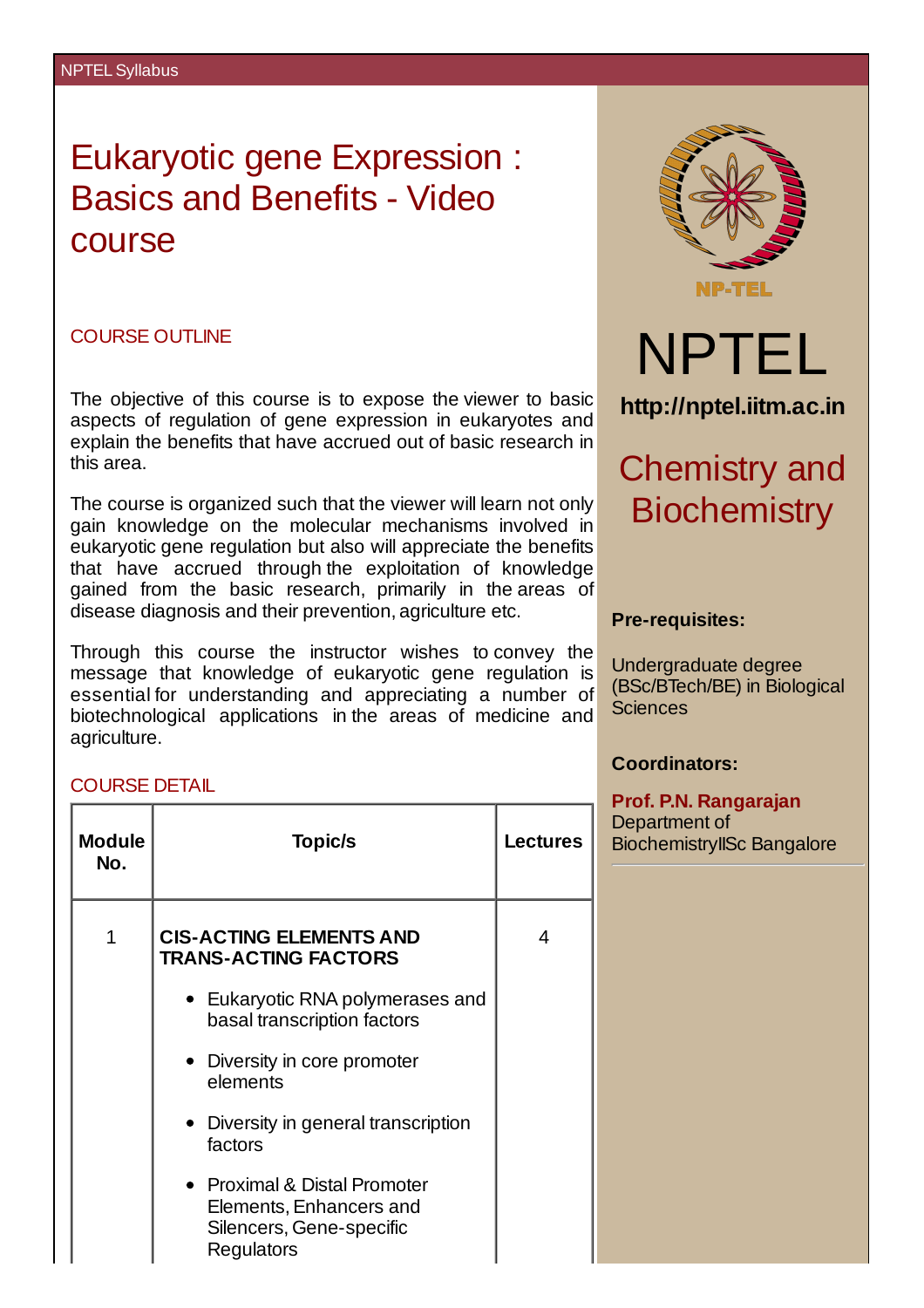# Eukaryotic gene Expression : Basics and Benefits - Video course

# COURSE OUTLINE

The objective of this course is to expose the viewer to basic aspects of regulation of gene expression in eukaryotes and explain the benefits that have accrued out of basic research in this area.

The course is organized such that the viewer will learn not only gain knowledge on the molecular mechanisms involved in eukaryotic gene regulation but also will appreciate the benefits that have accrued through the exploitation of knowledge gained from the basic research, primarily in the areas of disease diagnosis and their prevention, agriculture etc.

Through this course the instructor wishes to convey the message that knowledge of eukaryotic gene regulation is essential for understanding and appreciating a number of biotechnological applications in the areas of medicine and agriculture.

#### COURSE DETAIL

| <b>Module</b><br>No. | <b>Topic/s</b>                                                                                    | <b>Lectures</b> |
|----------------------|---------------------------------------------------------------------------------------------------|-----------------|
| 1                    | <b>CIS-ACTING ELEMENTS AND</b><br><b>TRANS-ACTING FACTORS</b>                                     | 4               |
|                      | $\bullet$ Eukaryotic RNA polymerases and<br>basal transcription factors                           |                 |
|                      | • Diversity in core promoter<br>elements                                                          |                 |
|                      | • Diversity in general transcription<br>factors                                                   |                 |
|                      | • Proximal & Distal Promoter<br>Elements, Enhancers and<br>Silencers, Gene-specific<br>Regulators |                 |



### **Pre-requisites:**

Undergraduate degree (BSc/BTech/BE) in Biological Sciences

## **Coordinators:**

#### **Prof. P.N. Rangarajan**

Department of BiochemistryIISc Bangalore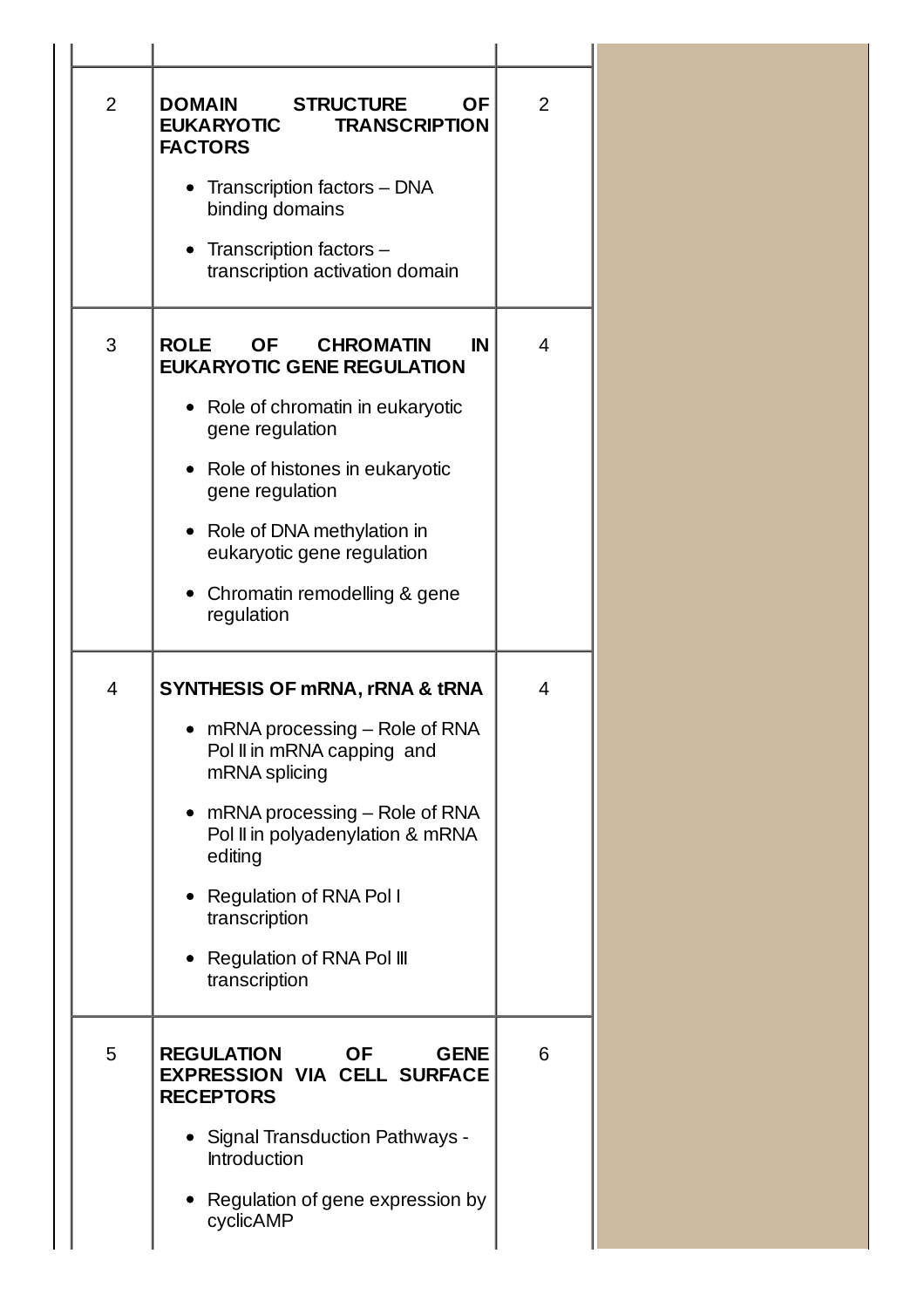| $\overline{2}$<br><b>DOMAIN</b><br><b>FACTORS</b> | <b>OF</b><br><b>STRUCTURE</b><br><b>EUKARYOTIC</b><br><b>TRANSCRIPTION</b><br>Transcription factors - DNA<br>binding domains<br>Transcription factors -<br>transcription activation domain                                                                                                                    | $\overline{2}$ |
|---------------------------------------------------|---------------------------------------------------------------------------------------------------------------------------------------------------------------------------------------------------------------------------------------------------------------------------------------------------------------|----------------|
| 3<br><b>ROLE</b><br>٠                             | <b>OF</b><br><b>CHROMATIN</b><br>IN<br><b>EUKARYOTIC GENE REGULATION</b><br>• Role of chromatin in eukaryotic<br>gene regulation<br>Role of histones in eukaryotic<br>gene regulation<br>Role of DNA methylation in<br>eukaryotic gene regulation<br>Chromatin remodelling & gene<br>regulation               | 4              |
| $\overline{4}$                                    | <b>SYNTHESIS OF MRNA, rRNA &amp; tRNA</b><br>• mRNA processing – Role of RNA<br>Pol II in mRNA capping and<br>mRNA splicing<br>• $mRNA$ processing $-$ Role of RNA<br>Pol II in polyadenylation & mRNA<br>editing<br>• Regulation of RNA Pol I<br>transcription<br>Regulation of RNA Pol III<br>transcription | $\overline{4}$ |
| 5                                                 | <b>GENE</b><br><b>REGULATION</b><br><b>OF</b><br><b>EXPRESSION VIA CELL SURFACE</b><br><b>RECEPTORS</b><br>• Signal Transduction Pathways -<br>Introduction<br>Regulation of gene expression by<br>cyclicAMP                                                                                                  | 6              |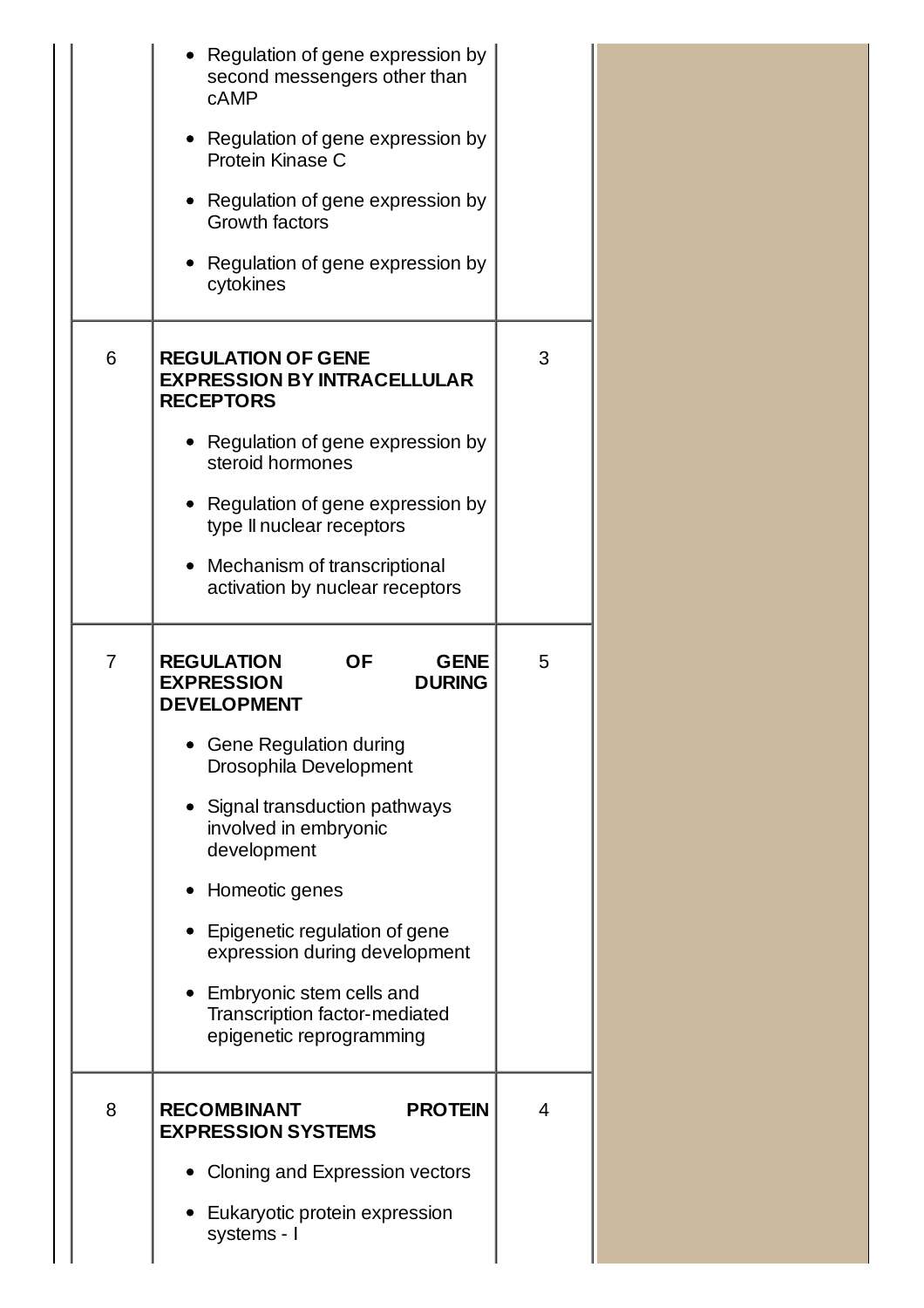|                | Regulation of gene expression by<br>second messengers other than<br><b>cAMP</b><br>• Regulation of gene expression by<br>Protein Kinase C<br>• Regulation of gene expression by<br>Growth factors<br>Regulation of gene expression by<br>cytokines                                                                                                                                                                        |   |
|----------------|---------------------------------------------------------------------------------------------------------------------------------------------------------------------------------------------------------------------------------------------------------------------------------------------------------------------------------------------------------------------------------------------------------------------------|---|
| 6              | <b>REGULATION OF GENE</b><br><b>EXPRESSION BY INTRACELLULAR</b><br><b>RECEPTORS</b><br>• Regulation of gene expression by<br>steroid hormones<br>Regulation of gene expression by<br>type II nuclear receptors<br>Mechanism of transcriptional<br>activation by nuclear receptors                                                                                                                                         | 3 |
| $\overline{7}$ | <b>REGULATION</b><br><b>OF</b><br><b>GENE</b><br><b>EXPRESSION</b><br><b>DURING</b><br><b>DEVELOPMENT</b><br><b>Gene Regulation during</b><br>Drosophila Development<br>Signal transduction pathways<br>involved in embryonic<br>development<br>Homeotic genes<br>Epigenetic regulation of gene<br>expression during development<br>Embryonic stem cells and<br>Transcription factor-mediated<br>epigenetic reprogramming | 5 |
| 8              | <b>PROTEIN</b><br><b>RECOMBINANT</b><br><b>EXPRESSION SYSTEMS</b><br>Cloning and Expression vectors<br>Eukaryotic protein expression<br>systems - I                                                                                                                                                                                                                                                                       | 4 |